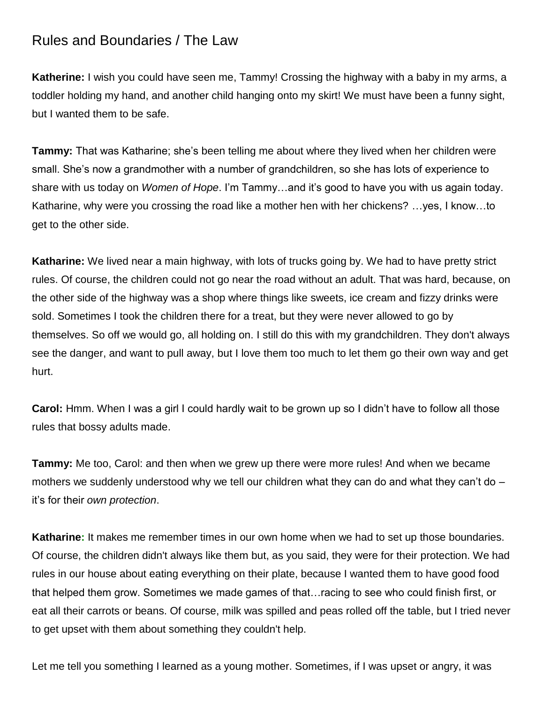## Rules and Boundaries / The Law

**Katherine:** I wish you could have seen me, Tammy! Crossing the highway with a baby in my arms, a toddler holding my hand, and another child hanging onto my skirt! We must have been a funny sight, but I wanted them to be safe.

**Tammy:** That was Katharine; she's been telling me about where they lived when her children were small. She's now a grandmother with a number of grandchildren, so she has lots of experience to share with us today on *Women of Hope*. I'm Tammy…and it's good to have you with us again today. Katharine, why were you crossing the road like a mother hen with her chickens? …yes, I know…to get to the other side.

**Katharine:** We lived near a main highway, with lots of trucks going by. We had to have pretty strict rules. Of course, the children could not go near the road without an adult. That was hard, because, on the other side of the highway was a shop where things like sweets, ice cream and fizzy drinks were sold. Sometimes I took the children there for a treat, but they were never allowed to go by themselves. So off we would go, all holding on. I still do this with my grandchildren. They don't always see the danger, and want to pull away, but I love them too much to let them go their own way and get hurt.

**Carol:** Hmm. When I was a girl I could hardly wait to be grown up so I didn't have to follow all those rules that bossy adults made.

**Tammy:** Me too, Carol: and then when we grew up there were more rules! And when we became mothers we suddenly understood why we tell our children what they can do and what they can't do – it's for their *own protection*.

**Katharine:** It makes me remember times in our own home when we had to set up those boundaries. Of course, the children didn't always like them but, as you said, they were for their protection. We had rules in our house about eating everything on their plate, because I wanted them to have good food that helped them grow. Sometimes we made games of that…racing to see who could finish first, or eat all their carrots or beans. Of course, milk was spilled and peas rolled off the table, but I tried never to get upset with them about something they couldn't help.

Let me tell you something I learned as a young mother. Sometimes, if I was upset or angry, it was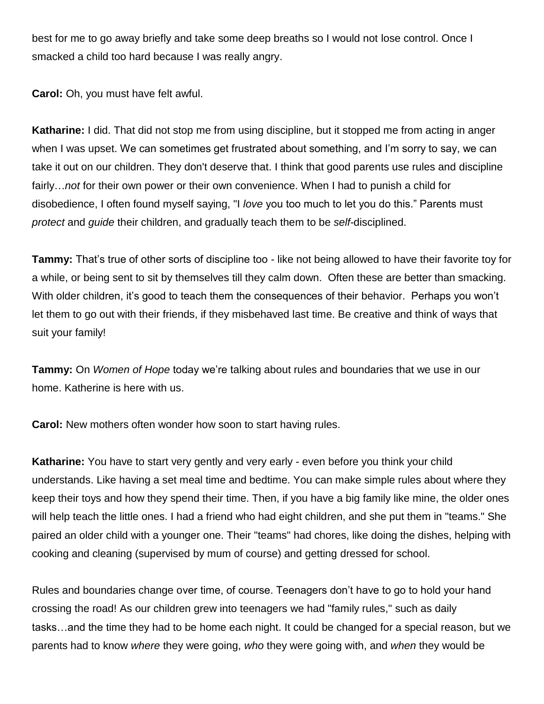best for me to go away briefly and take some deep breaths so I would not lose control. Once I smacked a child too hard because I was really angry.

**Carol:** Oh, you must have felt awful.

**Katharine:** I did. That did not stop me from using discipline, but it stopped me from acting in anger when I was upset. We can sometimes get frustrated about something, and I'm sorry to say, we can take it out on our children. They don't deserve that. I think that good parents use rules and discipline fairly…*not* for their own power or their own convenience. When I had to punish a child for disobedience, I often found myself saying, "I *love* you too much to let you do this." Parents must *protect* and *guide* their children, and gradually teach them to be *self-*disciplined.

**Tammy:** That's true of other sorts of discipline too - like not being allowed to have their favorite toy for a while, or being sent to sit by themselves till they calm down. Often these are better than smacking. With older children, it's good to teach them the consequences of their behavior. Perhaps you won't let them to go out with their friends, if they misbehaved last time. Be creative and think of ways that suit your family!

**Tammy:** On *Women of Hope* today we're talking about rules and boundaries that we use in our home. Katherine is here with us.

**Carol:** New mothers often wonder how soon to start having rules.

**Katharine:** You have to start very gently and very early - even before you think your child understands. Like having a set meal time and bedtime. You can make simple rules about where they keep their toys and how they spend their time. Then, if you have a big family like mine, the older ones will help teach the little ones. I had a friend who had eight children, and she put them in "teams." She paired an older child with a younger one. Their "teams" had chores, like doing the dishes, helping with cooking and cleaning (supervised by mum of course) and getting dressed for school.

Rules and boundaries change over time, of course. Teenagers don't have to go to hold your hand crossing the road! As our children grew into teenagers we had "family rules," such as daily tasks…and the time they had to be home each night. It could be changed for a special reason, but we parents had to know *where* they were going, *who* they were going with, and *when* they would be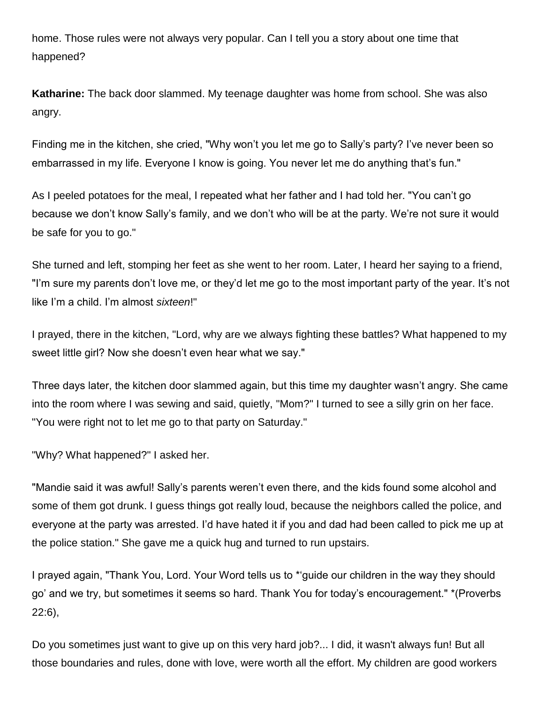home. Those rules were not always very popular. Can I tell you a story about one time that happened?

**Katharine:** The back door slammed. My teenage daughter was home from school. She was also angry.

Finding me in the kitchen, she cried, "Why won't you let me go to Sally's party? I've never been so embarrassed in my life. Everyone I know is going. You never let me do anything that's fun."

As I peeled potatoes for the meal, I repeated what her father and I had told her. "You can't go because we don't know Sally's family, and we don't who will be at the party. We're not sure it would be safe for you to go."

She turned and left, stomping her feet as she went to her room. Later, I heard her saying to a friend, "I'm sure my parents don't love me, or they'd let me go to the most important party of the year. It's not like I'm a child. I'm almost *sixteen*!"

I prayed, there in the kitchen, "Lord, why are we always fighting these battles? What happened to my sweet little girl? Now she doesn't even hear what we say."

Three days later, the kitchen door slammed again, but this time my daughter wasn't angry. She came into the room where I was sewing and said, quietly, "Mom?" I turned to see a silly grin on her face. "You were right not to let me go to that party on Saturday."

"Why? What happened?" I asked her.

"Mandie said it was awful! Sally's parents weren't even there, and the kids found some alcohol and some of them got drunk. I guess things got really loud, because the neighbors called the police, and everyone at the party was arrested. I'd have hated it if you and dad had been called to pick me up at the police station." She gave me a quick hug and turned to run upstairs.

I prayed again, "Thank You, Lord. Your Word tells us to \*'guide our children in the way they should go' and we try, but sometimes it seems so hard. Thank You for today's encouragement." \*(Proverbs 22:6),

Do you sometimes just want to give up on this very hard job?... I did, it wasn't always fun! But all those boundaries and rules, done with love, were worth all the effort. My children are good workers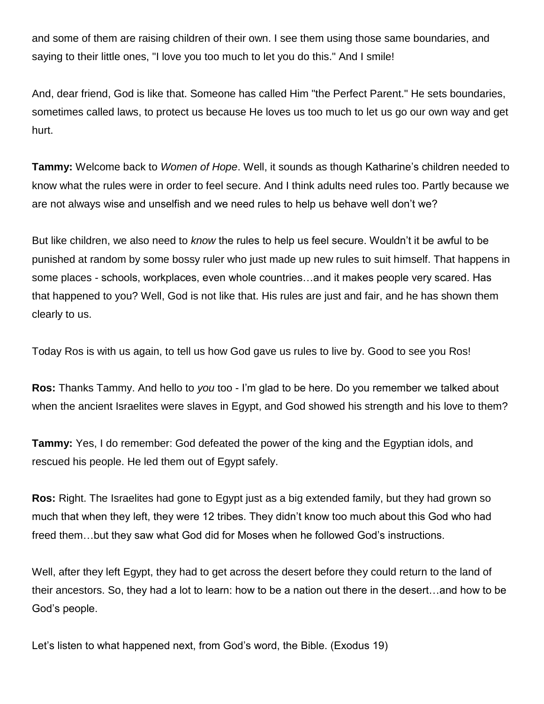and some of them are raising children of their own. I see them using those same boundaries, and saying to their little ones, "I love you too much to let you do this." And I smile!

And, dear friend, God is like that. Someone has called Him "the Perfect Parent." He sets boundaries, sometimes called laws, to protect us because He loves us too much to let us go our own way and get hurt.

**Tammy:** Welcome back to *Women of Hope*. Well, it sounds as though Katharine's children needed to know what the rules were in order to feel secure. And I think adults need rules too. Partly because we are not always wise and unselfish and we need rules to help us behave well don't we?

But like children, we also need to *know* the rules to help us feel secure. Wouldn't it be awful to be punished at random by some bossy ruler who just made up new rules to suit himself. That happens in some places - schools, workplaces, even whole countries…and it makes people very scared. Has that happened to you? Well, God is not like that. His rules are just and fair, and he has shown them clearly to us.

Today Ros is with us again, to tell us how God gave us rules to live by. Good to see you Ros!

**Ros:** Thanks Tammy. And hello to *you* too - I'm glad to be here. Do you remember we talked about when the ancient Israelites were slaves in Egypt, and God showed his strength and his love to them?

**Tammy:** Yes, I do remember: God defeated the power of the king and the Egyptian idols, and rescued his people. He led them out of Egypt safely.

**Ros:** Right. The Israelites had gone to Egypt just as a big extended family, but they had grown so much that when they left, they were 12 tribes. They didn't know too much about this God who had freed them…but they saw what God did for Moses when he followed God's instructions.

Well, after they left Egypt, they had to get across the desert before they could return to the land of their ancestors. So, they had a lot to learn: how to be a nation out there in the desert…and how to be God's people.

Let's listen to what happened next, from God's word, the Bible. (Exodus 19)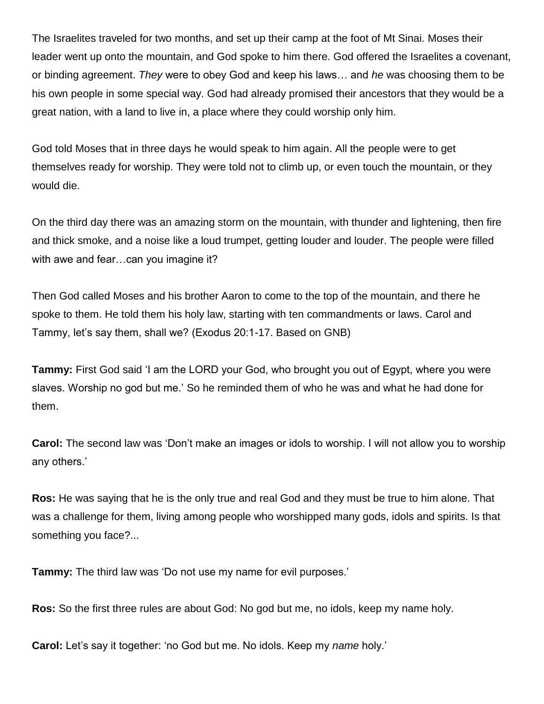The Israelites traveled for two months, and set up their camp at the foot of Mt Sinai. Moses their leader went up onto the mountain, and God spoke to him there. God offered the Israelites a covenant, or binding agreement. *They* were to obey God and keep his laws… and *he* was choosing them to be his own people in some special way. God had already promised their ancestors that they would be a great nation, with a land to live in, a place where they could worship only him.

God told Moses that in three days he would speak to him again. All the people were to get themselves ready for worship. They were told not to climb up, or even touch the mountain, or they would die.

On the third day there was an amazing storm on the mountain, with thunder and lightening, then fire and thick smoke, and a noise like a loud trumpet, getting louder and louder. The people were filled with awe and fear...can you imagine it?

Then God called Moses and his brother Aaron to come to the top of the mountain, and there he spoke to them. He told them his holy law, starting with ten commandments or laws. Carol and Tammy, let's say them, shall we? (Exodus 20:1-17. Based on GNB)

**Tammy:** First God said 'I am the LORD your God, who brought you out of Egypt, where you were slaves. Worship no god but me.' So he reminded them of who he was and what he had done for them.

**Carol:** The second law was 'Don't make an images or idols to worship. I will not allow you to worship any others.'

**Ros:** He was saying that he is the only true and real God and they must be true to him alone. That was a challenge for them, living among people who worshipped many gods, idols and spirits. Is that something you face?...

**Tammy:** The third law was 'Do not use my name for evil purposes.'

**Ros:** So the first three rules are about God: No god but me, no idols, keep my name holy.

**Carol:** Let's say it together: 'no God but me. No idols. Keep my *name* holy.'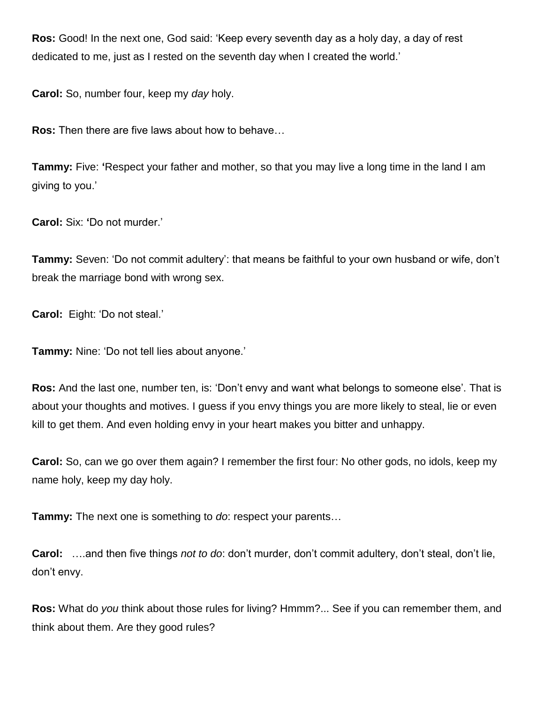**Ros:** Good! In the next one, God said: 'Keep every seventh day as a holy day, a day of rest dedicated to me, just as I rested on the seventh day when I created the world.'

**Carol:** So, number four, keep my *day* holy.

**Ros:** Then there are five laws about how to behave…

**Tammy:** Five: **'**Respect your father and mother, so that you may live a long time in the land I am giving to you.'

**Carol:** Six: **'**Do not murder.'

**Tammy:** Seven: 'Do not commit adultery': that means be faithful to your own husband or wife, don't break the marriage bond with wrong sex.

**Carol:** Eight: 'Do not steal.'

**Tammy:** Nine: 'Do not tell lies about anyone.'

**Ros:** And the last one, number ten, is: 'Don't envy and want what belongs to someone else'. That is about your thoughts and motives. I guess if you envy things you are more likely to steal, lie or even kill to get them. And even holding envy in your heart makes you bitter and unhappy.

**Carol:** So, can we go over them again? I remember the first four: No other gods, no idols, keep my name holy, keep my day holy.

**Tammy:** The next one is something to *do*: respect your parents…

**Carol:** ….and then five things *not to do*: don't murder, don't commit adultery, don't steal, don't lie, don't envy.

**Ros:** What do *you* think about those rules for living? Hmmm?... See if you can remember them, and think about them. Are they good rules?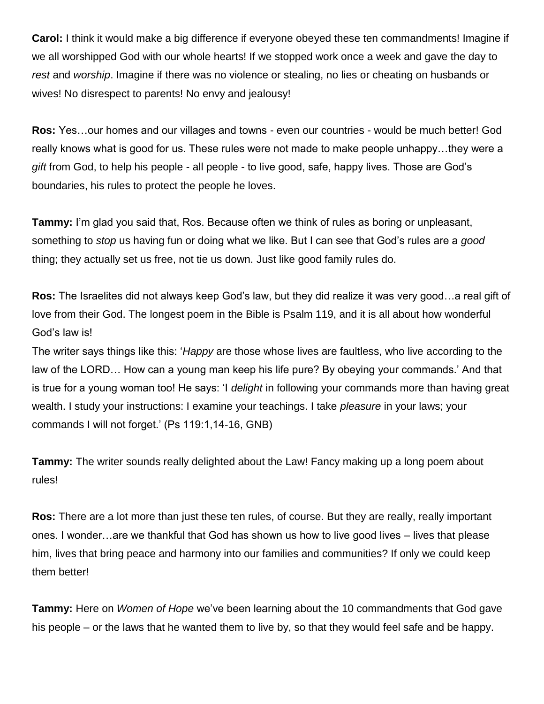**Carol:** I think it would make a big difference if everyone obeyed these ten commandments! Imagine if we all worshipped God with our whole hearts! If we stopped work once a week and gave the day to *rest* and *worship*. Imagine if there was no violence or stealing, no lies or cheating on husbands or wives! No disrespect to parents! No envy and jealousy!

**Ros:** Yes…our homes and our villages and towns - even our countries - would be much better! God really knows what is good for us. These rules were not made to make people unhappy…they were a *gift* from God, to help his people - all people - to live good, safe, happy lives. Those are God's boundaries, his rules to protect the people he loves.

**Tammy:** I'm glad you said that, Ros. Because often we think of rules as boring or unpleasant, something to *stop* us having fun or doing what we like. But I can see that God's rules are a *good* thing; they actually set us free, not tie us down. Just like good family rules do.

**Ros:** The Israelites did not always keep God's law, but they did realize it was very good…a real gift of love from their God. The longest poem in the Bible is Psalm 119, and it is all about how wonderful God's law is!

The writer says things like this: '*Happy* are those whose lives are faultless, who live according to the law of the LORD… How can a young man keep his life pure? By obeying your commands.' And that is true for a young woman too! He says: 'I *delight* in following your commands more than having great wealth. I study your instructions: I examine your teachings. I take *pleasure* in your laws; your commands I will not forget.' (Ps 119:1,14-16, GNB)

**Tammy:** The writer sounds really delighted about the Law! Fancy making up a long poem about rules!

**Ros:** There are a lot more than just these ten rules, of course. But they are really, really important ones. I wonder…are we thankful that God has shown us how to live good lives – lives that please him, lives that bring peace and harmony into our families and communities? If only we could keep them better!

**Tammy:** Here on *Women of Hope* we've been learning about the 10 commandments that God gave his people – or the laws that he wanted them to live by, so that they would feel safe and be happy.